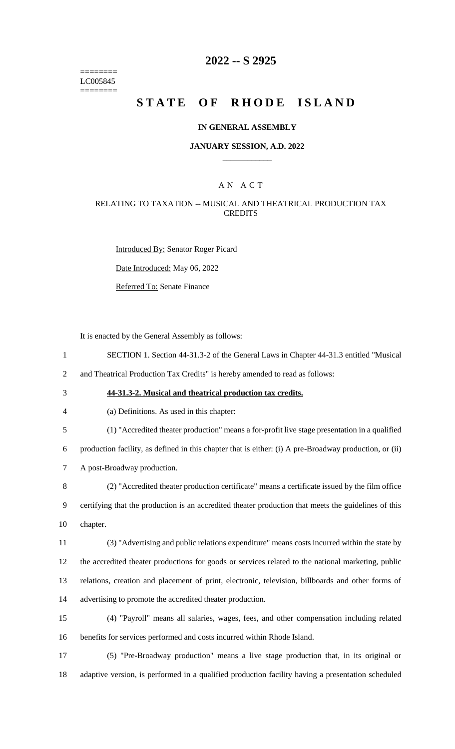======== LC005845 ========

## **2022 -- S 2925**

# **STATE OF RHODE ISLAND**

#### **IN GENERAL ASSEMBLY**

#### **JANUARY SESSION, A.D. 2022 \_\_\_\_\_\_\_\_\_\_\_\_**

### A N A C T

#### RELATING TO TAXATION -- MUSICAL AND THEATRICAL PRODUCTION TAX **CREDITS**

Introduced By: Senator Roger Picard

Date Introduced: May 06, 2022

Referred To: Senate Finance

It is enacted by the General Assembly as follows:

- 1 SECTION 1. Section 44-31.3-2 of the General Laws in Chapter 44-31.3 entitled "Musical 2 and Theatrical Production Tax Credits" is hereby amended to read as follows:
- 

### 3 **44-31.3-2. Musical and theatrical production tax credits.**

| 4 | (a) Definitions. As used in this chapter: |  |  |
|---|-------------------------------------------|--|--|
|---|-------------------------------------------|--|--|

5 (1) "Accredited theater production" means a for-profit live stage presentation in a qualified

6 production facility, as defined in this chapter that is either: (i) A pre-Broadway production, or (ii) 7 A post-Broadway production.

8 (2) "Accredited theater production certificate" means a certificate issued by the film office 9 certifying that the production is an accredited theater production that meets the guidelines of this 10 chapter.

 (3) "Advertising and public relations expenditure" means costs incurred within the state by the accredited theater productions for goods or services related to the national marketing, public relations, creation and placement of print, electronic, television, billboards and other forms of advertising to promote the accredited theater production.

- 15 (4) "Payroll" means all salaries, wages, fees, and other compensation including related 16 benefits for services performed and costs incurred within Rhode Island.
- 17 (5) "Pre-Broadway production" means a live stage production that, in its original or 18 adaptive version, is performed in a qualified production facility having a presentation scheduled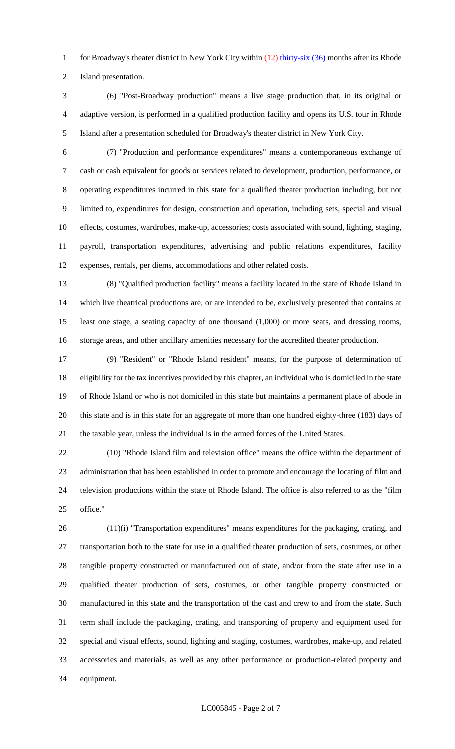1 for Broadway's theater district in New York City within  $\frac{12}{12}$  thirty-six (36) months after its Rhode Island presentation.

- (6) "Post-Broadway production" means a live stage production that, in its original or adaptive version, is performed in a qualified production facility and opens its U.S. tour in Rhode Island after a presentation scheduled for Broadway's theater district in New York City.
- 

 (7) "Production and performance expenditures" means a contemporaneous exchange of cash or cash equivalent for goods or services related to development, production, performance, or operating expenditures incurred in this state for a qualified theater production including, but not limited to, expenditures for design, construction and operation, including sets, special and visual effects, costumes, wardrobes, make-up, accessories; costs associated with sound, lighting, staging, payroll, transportation expenditures, advertising and public relations expenditures, facility expenses, rentals, per diems, accommodations and other related costs.

 (8) "Qualified production facility" means a facility located in the state of Rhode Island in which live theatrical productions are, or are intended to be, exclusively presented that contains at least one stage, a seating capacity of one thousand (1,000) or more seats, and dressing rooms, storage areas, and other ancillary amenities necessary for the accredited theater production.

 (9) "Resident" or "Rhode Island resident" means, for the purpose of determination of eligibility for the tax incentives provided by this chapter, an individual who is domiciled in the state of Rhode Island or who is not domiciled in this state but maintains a permanent place of abode in this state and is in this state for an aggregate of more than one hundred eighty-three (183) days of the taxable year, unless the individual is in the armed forces of the United States.

 (10) "Rhode Island film and television office" means the office within the department of administration that has been established in order to promote and encourage the locating of film and television productions within the state of Rhode Island. The office is also referred to as the "film office."

 (11)(i) "Transportation expenditures" means expenditures for the packaging, crating, and transportation both to the state for use in a qualified theater production of sets, costumes, or other tangible property constructed or manufactured out of state, and/or from the state after use in a qualified theater production of sets, costumes, or other tangible property constructed or manufactured in this state and the transportation of the cast and crew to and from the state. Such term shall include the packaging, crating, and transporting of property and equipment used for special and visual effects, sound, lighting and staging, costumes, wardrobes, make-up, and related accessories and materials, as well as any other performance or production-related property and equipment.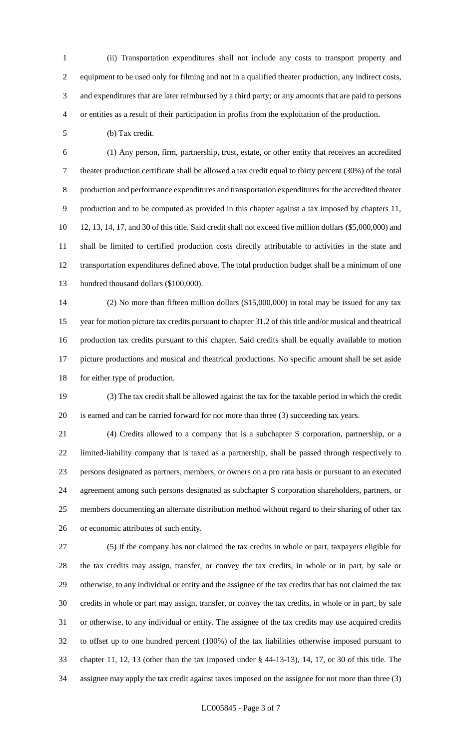(ii) Transportation expenditures shall not include any costs to transport property and equipment to be used only for filming and not in a qualified theater production, any indirect costs, and expenditures that are later reimbursed by a third party; or any amounts that are paid to persons or entities as a result of their participation in profits from the exploitation of the production.

(b) Tax credit.

 (1) Any person, firm, partnership, trust, estate, or other entity that receives an accredited theater production certificate shall be allowed a tax credit equal to thirty percent (30%) of the total production and performance expenditures and transportation expenditures for the accredited theater production and to be computed as provided in this chapter against a tax imposed by chapters 11, 12, 13, 14, 17, and 30 of this title. Said credit shall not exceed five million dollars (\$5,000,000) and shall be limited to certified production costs directly attributable to activities in the state and transportation expenditures defined above. The total production budget shall be a minimum of one hundred thousand dollars (\$100,000).

 (2) No more than fifteen million dollars (\$15,000,000) in total may be issued for any tax year for motion picture tax credits pursuant to chapter 31.2 of this title and/or musical and theatrical production tax credits pursuant to this chapter. Said credits shall be equally available to motion picture productions and musical and theatrical productions. No specific amount shall be set aside for either type of production.

 (3) The tax credit shall be allowed against the tax for the taxable period in which the credit is earned and can be carried forward for not more than three (3) succeeding tax years.

 (4) Credits allowed to a company that is a subchapter S corporation, partnership, or a limited-liability company that is taxed as a partnership, shall be passed through respectively to persons designated as partners, members, or owners on a pro rata basis or pursuant to an executed agreement among such persons designated as subchapter S corporation shareholders, partners, or members documenting an alternate distribution method without regard to their sharing of other tax or economic attributes of such entity.

 (5) If the company has not claimed the tax credits in whole or part, taxpayers eligible for the tax credits may assign, transfer, or convey the tax credits, in whole or in part, by sale or otherwise, to any individual or entity and the assignee of the tax credits that has not claimed the tax credits in whole or part may assign, transfer, or convey the tax credits, in whole or in part, by sale or otherwise, to any individual or entity. The assignee of the tax credits may use acquired credits to offset up to one hundred percent (100%) of the tax liabilities otherwise imposed pursuant to chapter 11, 12, 13 (other than the tax imposed under § 44-13-13), 14, 17, or 30 of this title. The assignee may apply the tax credit against taxes imposed on the assignee for not more than three (3)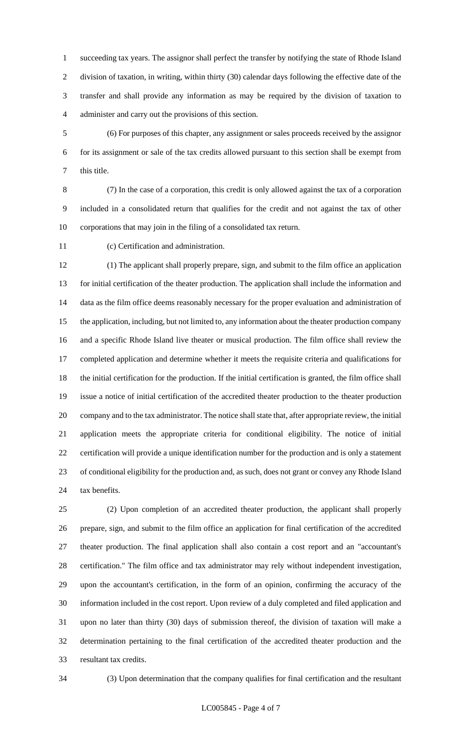succeeding tax years. The assignor shall perfect the transfer by notifying the state of Rhode Island division of taxation, in writing, within thirty (30) calendar days following the effective date of the transfer and shall provide any information as may be required by the division of taxation to administer and carry out the provisions of this section.

 (6) For purposes of this chapter, any assignment or sales proceeds received by the assignor for its assignment or sale of the tax credits allowed pursuant to this section shall be exempt from this title.

 (7) In the case of a corporation, this credit is only allowed against the tax of a corporation included in a consolidated return that qualifies for the credit and not against the tax of other corporations that may join in the filing of a consolidated tax return.

(c) Certification and administration.

 (1) The applicant shall properly prepare, sign, and submit to the film office an application for initial certification of the theater production. The application shall include the information and data as the film office deems reasonably necessary for the proper evaluation and administration of the application, including, but not limited to, any information about the theater production company and a specific Rhode Island live theater or musical production. The film office shall review the completed application and determine whether it meets the requisite criteria and qualifications for the initial certification for the production. If the initial certification is granted, the film office shall issue a notice of initial certification of the accredited theater production to the theater production company and to the tax administrator. The notice shall state that, after appropriate review, the initial application meets the appropriate criteria for conditional eligibility. The notice of initial certification will provide a unique identification number for the production and is only a statement of conditional eligibility for the production and, as such, does not grant or convey any Rhode Island tax benefits.

 (2) Upon completion of an accredited theater production, the applicant shall properly prepare, sign, and submit to the film office an application for final certification of the accredited theater production. The final application shall also contain a cost report and an "accountant's certification." The film office and tax administrator may rely without independent investigation, upon the accountant's certification, in the form of an opinion, confirming the accuracy of the information included in the cost report. Upon review of a duly completed and filed application and upon no later than thirty (30) days of submission thereof, the division of taxation will make a determination pertaining to the final certification of the accredited theater production and the resultant tax credits.

(3) Upon determination that the company qualifies for final certification and the resultant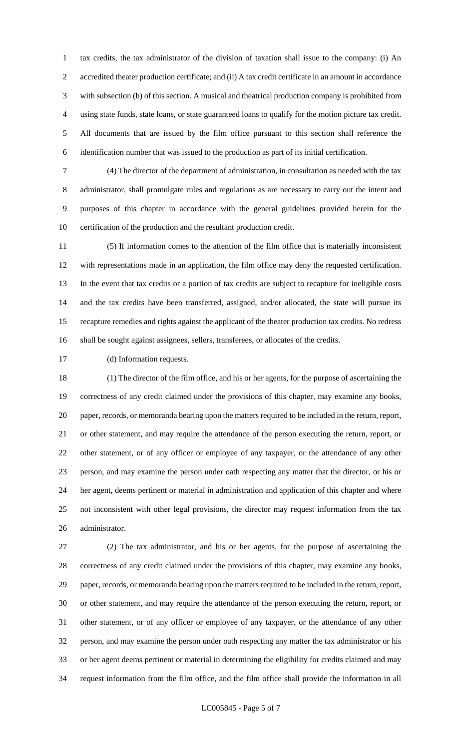tax credits, the tax administrator of the division of taxation shall issue to the company: (i) An accredited theater production certificate; and (ii) A tax credit certificate in an amount in accordance with subsection (b) of this section. A musical and theatrical production company is prohibited from using state funds, state loans, or state guaranteed loans to qualify for the motion picture tax credit. All documents that are issued by the film office pursuant to this section shall reference the identification number that was issued to the production as part of its initial certification.

 (4) The director of the department of administration, in consultation as needed with the tax administrator, shall promulgate rules and regulations as are necessary to carry out the intent and purposes of this chapter in accordance with the general guidelines provided herein for the certification of the production and the resultant production credit.

 (5) If information comes to the attention of the film office that is materially inconsistent with representations made in an application, the film office may deny the requested certification. In the event that tax credits or a portion of tax credits are subject to recapture for ineligible costs and the tax credits have been transferred, assigned, and/or allocated, the state will pursue its recapture remedies and rights against the applicant of the theater production tax credits. No redress shall be sought against assignees, sellers, transferees, or allocates of the credits.

(d) Information requests.

 (1) The director of the film office, and his or her agents, for the purpose of ascertaining the correctness of any credit claimed under the provisions of this chapter, may examine any books, paper, records, or memoranda bearing upon the matters required to be included in the return, report, or other statement, and may require the attendance of the person executing the return, report, or other statement, or of any officer or employee of any taxpayer, or the attendance of any other person, and may examine the person under oath respecting any matter that the director, or his or her agent, deems pertinent or material in administration and application of this chapter and where not inconsistent with other legal provisions, the director may request information from the tax administrator.

 (2) The tax administrator, and his or her agents, for the purpose of ascertaining the correctness of any credit claimed under the provisions of this chapter, may examine any books, paper, records, or memoranda bearing upon the matters required to be included in the return, report, or other statement, and may require the attendance of the person executing the return, report, or other statement, or of any officer or employee of any taxpayer, or the attendance of any other person, and may examine the person under oath respecting any matter the tax administrator or his or her agent deems pertinent or material in determining the eligibility for credits claimed and may request information from the film office, and the film office shall provide the information in all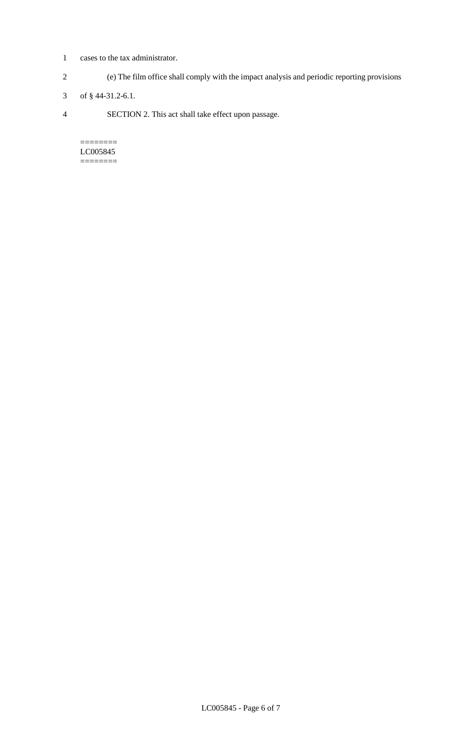- 1 cases to the tax administrator.
- 2 (e) The film office shall comply with the impact analysis and periodic reporting provisions
- 3 of § 44-31.2-6.1.
- 4 SECTION 2. This act shall take effect upon passage.

======== LC005845  $=$